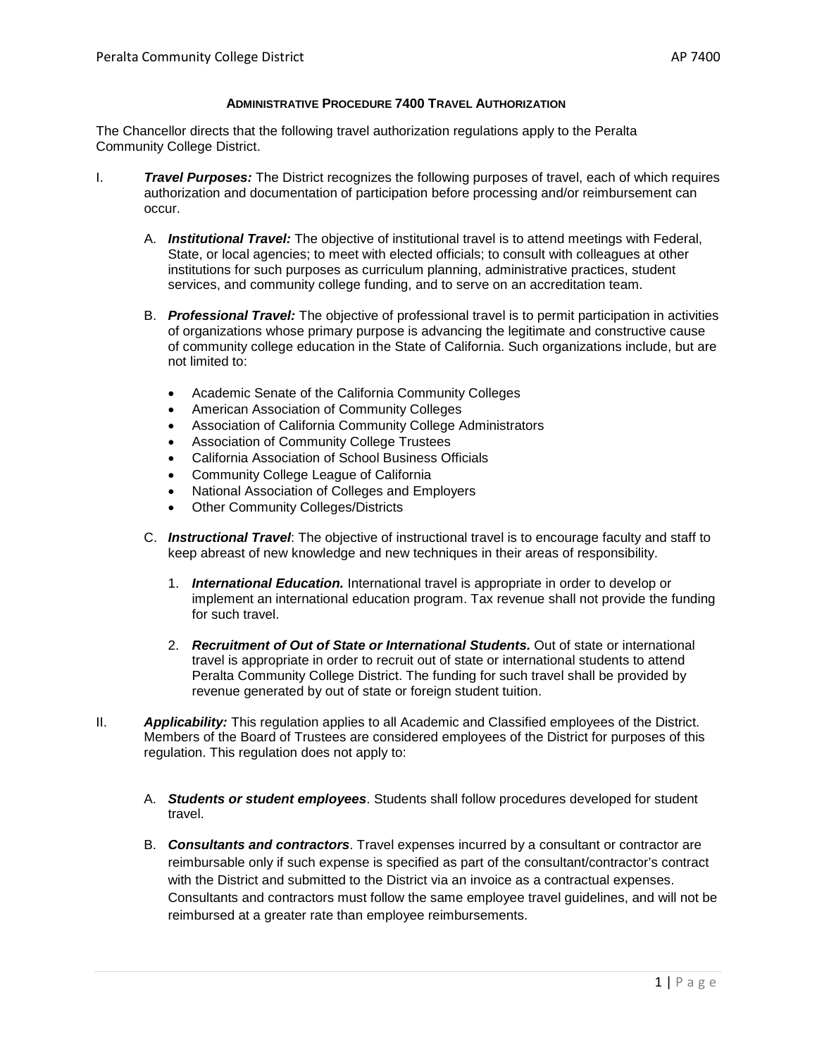### **ADMINISTRATIVE PROCEDURE 7400 TRAVEL AUTHORIZATION**

The Chancellor directs that the following travel authorization regulations apply to the Peralta Community College District.

- I. *Travel Purposes:* The District recognizes the following purposes of travel, each of which requires authorization and documentation of participation before processing and/or reimbursement can occur.
	- A. *Institutional Travel:* The objective of institutional travel is to attend meetings with Federal, State, or local agencies; to meet with elected officials; to consult with colleagues at other institutions for such purposes as curriculum planning, administrative practices, student services, and community college funding, and to serve on an accreditation team.
	- B. *Professional Travel:* The objective of professional travel is to permit participation in activities of organizations whose primary purpose is advancing the legitimate and constructive cause of community college education in the State of California. Such organizations include, but are not limited to:
		- Academic Senate of the California Community Colleges
		- American Association of Community Colleges
		- Association of California Community College Administrators
		- Association of Community College Trustees
		- California Association of School Business Officials
		- Community College League of California
		- National Association of Colleges and Employers
		- **Other Community Colleges/Districts**
	- C. *Instructional Travel*: The objective of instructional travel is to encourage faculty and staff to keep abreast of new knowledge and new techniques in their areas of responsibility.
		- 1. *International Education.* International travel is appropriate in order to develop or implement an international education program. Tax revenue shall not provide the funding for such travel.
		- 2. **Recruitment of Out of State or International Students.** Out of state or international travel is appropriate in order to recruit out of state or international students to attend Peralta Community College District. The funding for such travel shall be provided by revenue generated by out of state or foreign student tuition.
- II. *Applicability:* This regulation applies to all Academic and Classified employees of the District. Members of the Board of Trustees are considered employees of the District for purposes of this regulation. This regulation does not apply to:
	- A. *Students or student employees*. Students shall follow procedures developed for student travel.
	- B. *Consultants and contractors*. Travel expenses incurred by a consultant or contractor are reimbursable only if such expense is specified as part of the consultant/contractor's contract with the District and submitted to the District via an invoice as a contractual expenses. Consultants and contractors must follow the same employee travel guidelines, and will not be reimbursed at a greater rate than employee reimbursements.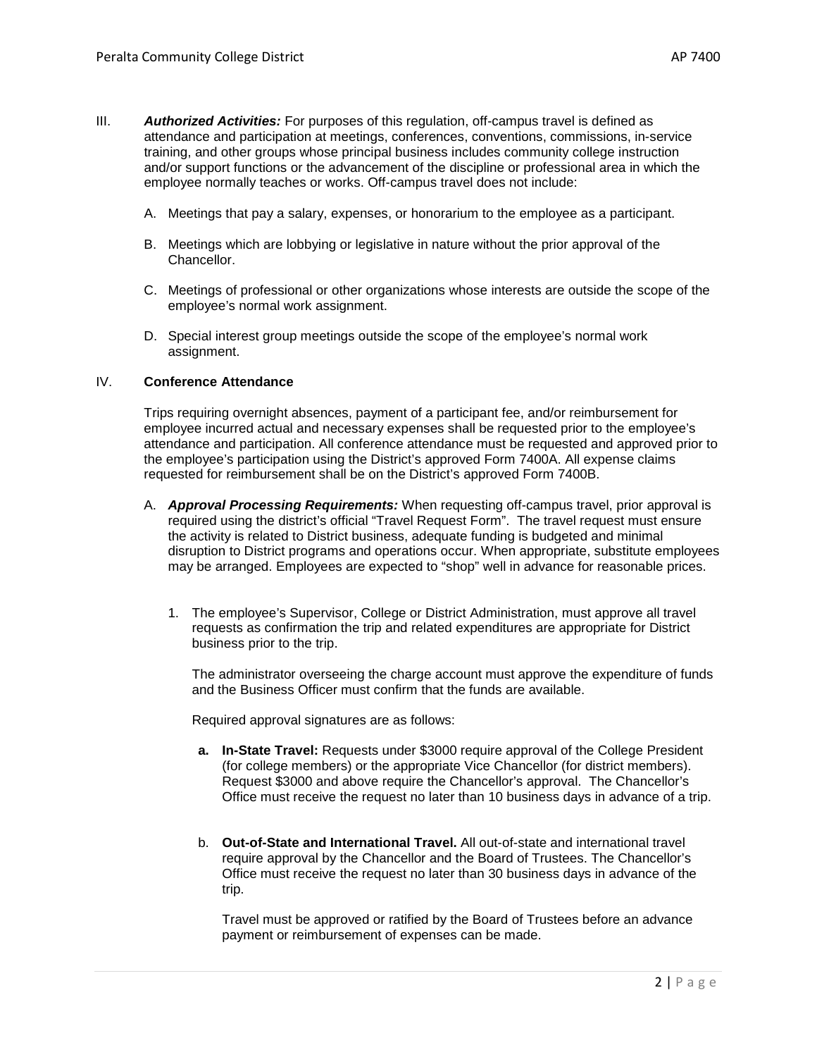- III. *Authorized Activities:* For purposes of this regulation, off-campus travel is defined as attendance and participation at meetings, conferences, conventions, commissions, in-service training, and other groups whose principal business includes community college instruction and/or support functions or the advancement of the discipline or professional area in which the employee normally teaches or works. Off-campus travel does not include:
	- A. Meetings that pay a salary, expenses, or honorarium to the employee as a participant.
	- B. Meetings which are lobbying or legislative in nature without the prior approval of the Chancellor.
	- C. Meetings of professional or other organizations whose interests are outside the scope of the employee's normal work assignment.
	- D. Special interest group meetings outside the scope of the employee's normal work assignment.

### IV. **Conference Attendance**

Trips requiring overnight absences, payment of a participant fee, and/or reimbursement for employee incurred actual and necessary expenses shall be requested prior to the employee's attendance and participation. All conference attendance must be requested and approved prior to the employee's participation using the District's approved Form 7400A. All expense claims requested for reimbursement shall be on the District's approved Form 7400B.

- A. *Approval Processing Requirements:* When requesting off-campus travel, prior approval is required using the district's official "Travel Request Form". The travel request must ensure the activity is related to District business, adequate funding is budgeted and minimal disruption to District programs and operations occur. When appropriate, substitute employees may be arranged. Employees are expected to "shop" well in advance for reasonable prices.
	- 1. The employee's Supervisor, College or District Administration, must approve all travel requests as confirmation the trip and related expenditures are appropriate for District business prior to the trip.

The administrator overseeing the charge account must approve the expenditure of funds and the Business Officer must confirm that the funds are available.

Required approval signatures are as follows:

- **a. In-State Travel:** Requests under \$3000 require approval of the College President (for college members) or the appropriate Vice Chancellor (for district members). Request \$3000 and above require the Chancellor's approval. The Chancellor's Office must receive the request no later than 10 business days in advance of a trip.
- b. **Out-of-State and International Travel.** All out-of-state and international travel require approval by the Chancellor and the Board of Trustees. The Chancellor's Office must receive the request no later than 30 business days in advance of the trip.

Travel must be approved or ratified by the Board of Trustees before an advance payment or reimbursement of expenses can be made.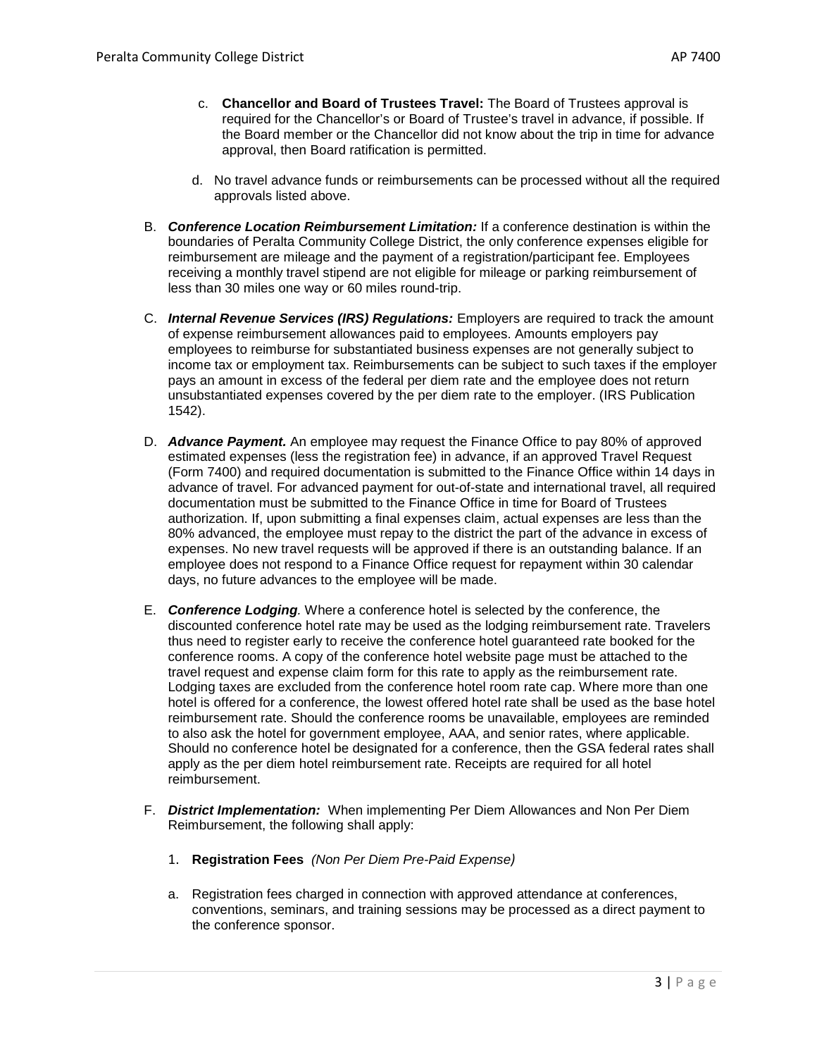- c. **Chancellor and Board of Trustees Travel:** The Board of Trustees approval is required for the Chancellor's or Board of Trustee's travel in advance, if possible. If the Board member or the Chancellor did not know about the trip in time for advance approval, then Board ratification is permitted.
- d. No travel advance funds or reimbursements can be processed without all the required approvals listed above.
- B. *Conference Location Reimbursement Limitation:* If a conference destination is within the boundaries of Peralta Community College District, the only conference expenses eligible for reimbursement are mileage and the payment of a registration/participant fee. Employees receiving a monthly travel stipend are not eligible for mileage or parking reimbursement of less than 30 miles one way or 60 miles round-trip.
- C. *Internal Revenue Services (IRS) Regulations:* Employers are required to track the amount of expense reimbursement allowances paid to employees. Amounts employers pay employees to reimburse for substantiated business expenses are not generally subject to income tax or employment tax. Reimbursements can be subject to such taxes if the employer pays an amount in excess of the federal per diem rate and the employee does not return unsubstantiated expenses covered by the per diem rate to the employer. (IRS Publication 1542).
- D. *Advance Payment.* An employee may request the Finance Office to pay 80% of approved estimated expenses (less the registration fee) in advance, if an approved Travel Request (Form 7400) and required documentation is submitted to the Finance Office within 14 days in advance of travel. For advanced payment for out-of-state and international travel, all required documentation must be submitted to the Finance Office in time for Board of Trustees authorization. If, upon submitting a final expenses claim, actual expenses are less than the 80% advanced, the employee must repay to the district the part of the advance in excess of expenses. No new travel requests will be approved if there is an outstanding balance. If an employee does not respond to a Finance Office request for repayment within 30 calendar days, no future advances to the employee will be made.
- E. *Conference Lodging.* Where a conference hotel is selected by the conference, the discounted conference hotel rate may be used as the lodging reimbursement rate. Travelers thus need to register early to receive the conference hotel guaranteed rate booked for the conference rooms. A copy of the conference hotel website page must be attached to the travel request and expense claim form for this rate to apply as the reimbursement rate. Lodging taxes are excluded from the conference hotel room rate cap. Where more than one hotel is offered for a conference, the lowest offered hotel rate shall be used as the base hotel reimbursement rate. Should the conference rooms be unavailable, employees are reminded to also ask the hotel for government employee, AAA, and senior rates, where applicable. Should no conference hotel be designated for a conference, then the GSA federal rates shall apply as the per diem hotel reimbursement rate. Receipts are required for all hotel reimbursement.
- F. *District Implementation:* When implementing Per Diem Allowances and Non Per Diem Reimbursement, the following shall apply:
	- 1. **Registration Fees** *(Non Per Diem Pre-Paid Expense)*
	- a. Registration fees charged in connection with approved attendance at conferences, conventions, seminars, and training sessions may be processed as a direct payment to the conference sponsor.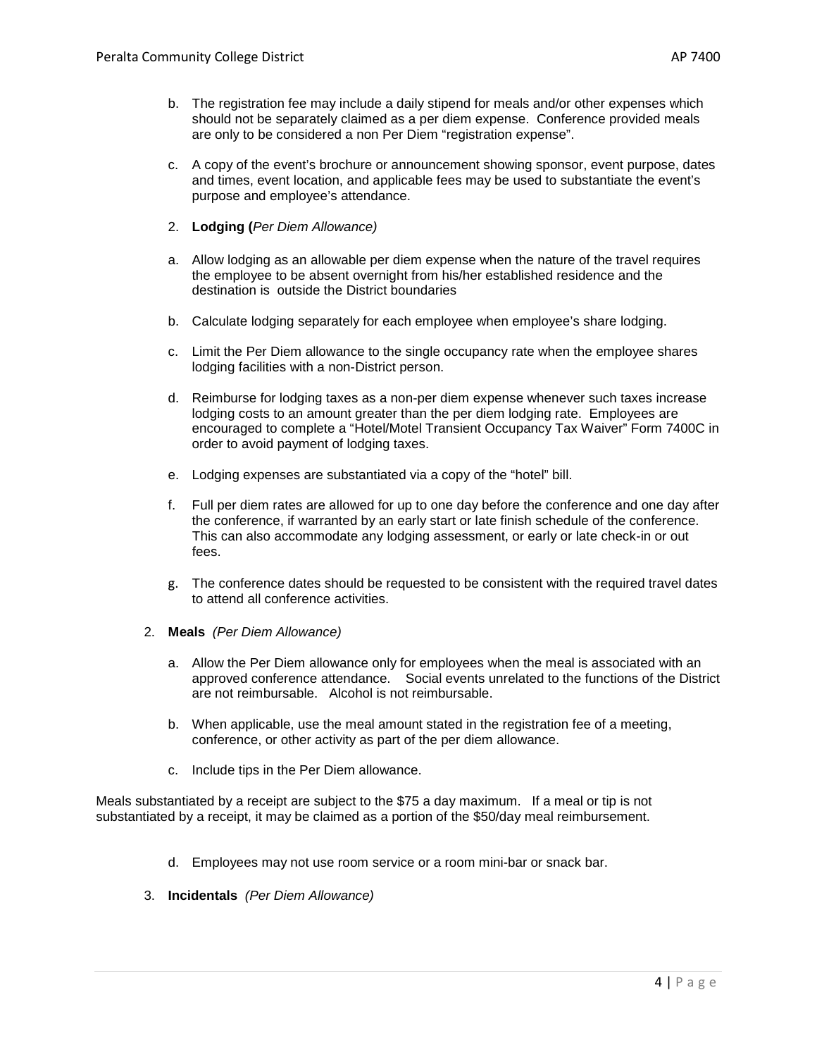- c. A copy of the event's brochure or announcement showing sponsor, event purpose, dates and times, event location, and applicable fees may be used to substantiate the event's purpose and employee's attendance.
- 2. **Lodging (***Per Diem Allowance)*
- a. Allow lodging as an allowable per diem expense when the nature of the travel requires the employee to be absent overnight from his/her established residence and the destination is outside the District boundaries
- b. Calculate lodging separately for each employee when employee's share lodging.
- c. Limit the Per Diem allowance to the single occupancy rate when the employee shares lodging facilities with a non-District person.
- d. Reimburse for lodging taxes as a non-per diem expense whenever such taxes increase lodging costs to an amount greater than the per diem lodging rate. Employees are encouraged to complete a "Hotel/Motel Transient Occupancy Tax Waiver" Form 7400C in order to avoid payment of lodging taxes.
- e. Lodging expenses are substantiated via a copy of the "hotel" bill.
- f. Full per diem rates are allowed for up to one day before the conference and one day after the conference, if warranted by an early start or late finish schedule of the conference. This can also accommodate any lodging assessment, or early or late check-in or out fees.
- g. The conference dates should be requested to be consistent with the required travel dates to attend all conference activities.
- 2. **Meals** *(Per Diem Allowance)*
	- a. Allow the Per Diem allowance only for employees when the meal is associated with an approved conference attendance. Social events unrelated to the functions of the District are not reimbursable. Alcohol is not reimbursable.
	- b. When applicable, use the meal amount stated in the registration fee of a meeting, conference, or other activity as part of the per diem allowance.
	- c. Include tips in the Per Diem allowance.

Meals substantiated by a receipt are subject to the \$75 a day maximum. If a meal or tip is not substantiated by a receipt, it may be claimed as a portion of the \$50/day meal reimbursement.

- d. Employees may not use room service or a room mini-bar or snack bar.
- 3. **Incidentals** *(Per Diem Allowance)*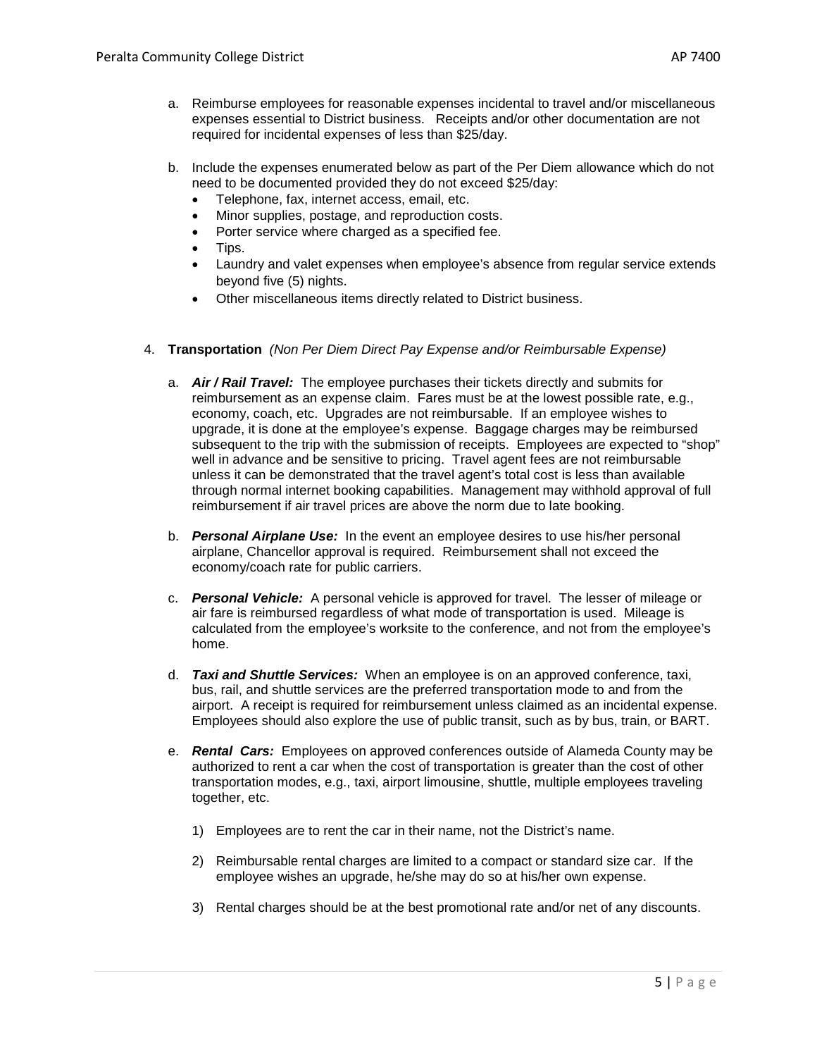- a. Reimburse employees for reasonable expenses incidental to travel and/or miscellaneous expenses essential to District business. Receipts and/or other documentation are not required for incidental expenses of less than \$25/day.
- b. Include the expenses enumerated below as part of the Per Diem allowance which do not need to be documented provided they do not exceed \$25/day:
	- Telephone, fax, internet access, email, etc.
	- Minor supplies, postage, and reproduction costs.
	- Porter service where charged as a specified fee.
	- Tips.
	- Laundry and valet expenses when employee's absence from regular service extends beyond five (5) nights.
	- Other miscellaneous items directly related to District business.
- 4. **Transportation** *(Non Per Diem Direct Pay Expense and/or Reimbursable Expense)*
	- a. *Air / Rail Travel:* The employee purchases their tickets directly and submits for reimbursement as an expense claim. Fares must be at the lowest possible rate, e.g., economy, coach, etc. Upgrades are not reimbursable. If an employee wishes to upgrade, it is done at the employee's expense. Baggage charges may be reimbursed subsequent to the trip with the submission of receipts. Employees are expected to "shop" well in advance and be sensitive to pricing. Travel agent fees are not reimbursable unless it can be demonstrated that the travel agent's total cost is less than available through normal internet booking capabilities. Management may withhold approval of full reimbursement if air travel prices are above the norm due to late booking.
	- b. *Personal Airplane Use:* In the event an employee desires to use his/her personal airplane, Chancellor approval is required. Reimbursement shall not exceed the economy/coach rate for public carriers.
	- c. *Personal Vehicle:* A personal vehicle is approved for travel. The lesser of mileage or air fare is reimbursed regardless of what mode of transportation is used. Mileage is calculated from the employee's worksite to the conference, and not from the employee's home.
	- d. *Taxi and Shuttle Services:*When an employee is on an approved conference, taxi, bus, rail, and shuttle services are the preferred transportation mode to and from the airport. A receipt is required for reimbursement unless claimed as an incidental expense. Employees should also explore the use of public transit, such as by bus, train, or BART.
	- e. *Rental Cars:* Employees on approved conferences outside of Alameda County may be authorized to rent a car when the cost of transportation is greater than the cost of other transportation modes, e.g., taxi, airport limousine, shuttle, multiple employees traveling together, etc.
		- 1) Employees are to rent the car in their name, not the District's name.
		- 2) Reimbursable rental charges are limited to a compact or standard size car. If the employee wishes an upgrade, he/she may do so at his/her own expense.
		- 3) Rental charges should be at the best promotional rate and/or net of any discounts.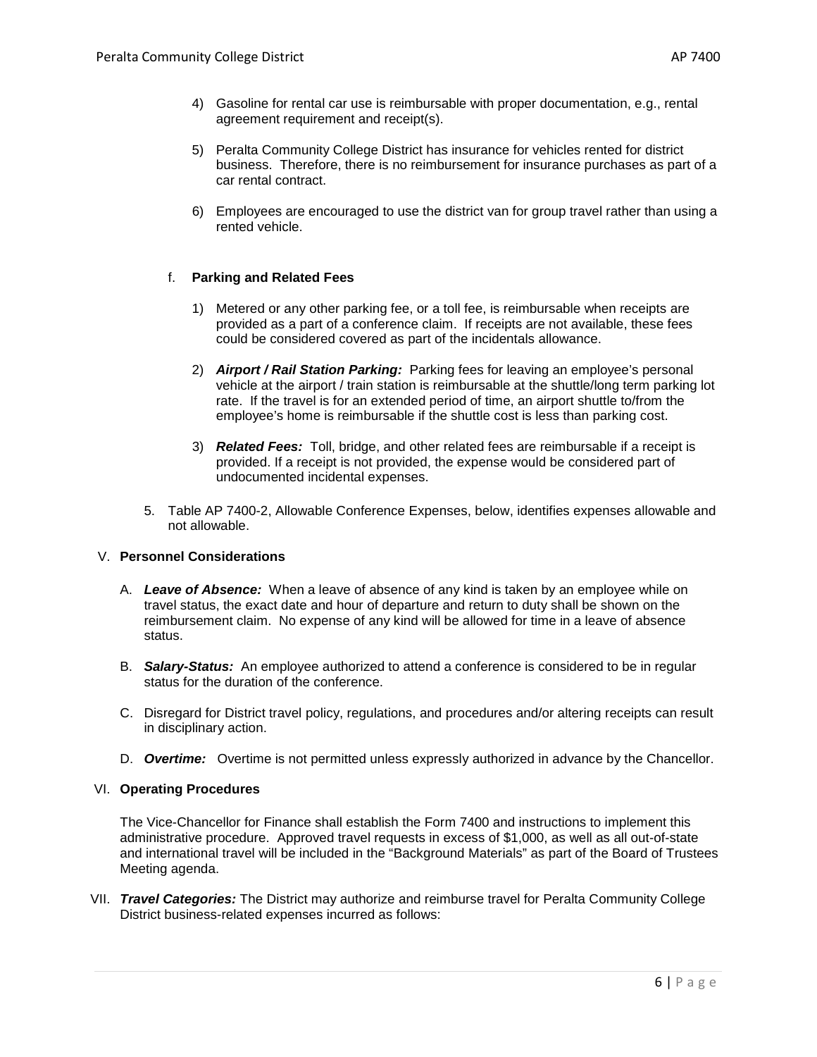- 4) Gasoline for rental car use is reimbursable with proper documentation, e.g., rental agreement requirement and receipt(s).
- 5) Peralta Community College District has insurance for vehicles rented for district business. Therefore, there is no reimbursement for insurance purchases as part of a car rental contract.
- 6) Employees are encouraged to use the district van for group travel rather than using a rented vehicle.

# f. **Parking and Related Fees**

- 1) Metered or any other parking fee, or a toll fee, is reimbursable when receipts are provided as a part of a conference claim. If receipts are not available, these fees could be considered covered as part of the incidentals allowance.
- 2) *Airport / Rail Station Parking:* Parking fees for leaving an employee's personal vehicle at the airport / train station is reimbursable at the shuttle/long term parking lot rate. If the travel is for an extended period of time, an airport shuttle to/from the employee's home is reimbursable if the shuttle cost is less than parking cost.
- 3) *Related Fees:* Toll, bridge, and other related fees are reimbursable if a receipt is provided. If a receipt is not provided, the expense would be considered part of undocumented incidental expenses.
- 5. Table AP 7400-2, Allowable Conference Expenses, below, identifies expenses allowable and not allowable.

# V. **Personnel Considerations**

- A. *Leave of Absence:*When a leave of absence of any kind is taken by an employee while on travel status, the exact date and hour of departure and return to duty shall be shown on the reimbursement claim. No expense of any kind will be allowed for time in a leave of absence status.
- B. *Salary-Status:* An employee authorized to attend a conference is considered to be in regular status for the duration of the conference.
- C. Disregard for District travel policy, regulations, and procedures and/or altering receipts can result in disciplinary action.
- D. *Overtime:* Overtime is not permitted unless expressly authorized in advance by the Chancellor.

### VI. **Operating Procedures**

The Vice-Chancellor for Finance shall establish the Form 7400 and instructions to implement this administrative procedure. Approved travel requests in excess of \$1,000, as well as all out-of-state and international travel will be included in the "Background Materials" as part of the Board of Trustees Meeting agenda.

VII. *Travel Categories:* The District may authorize and reimburse travel for Peralta Community College District business-related expenses incurred as follows: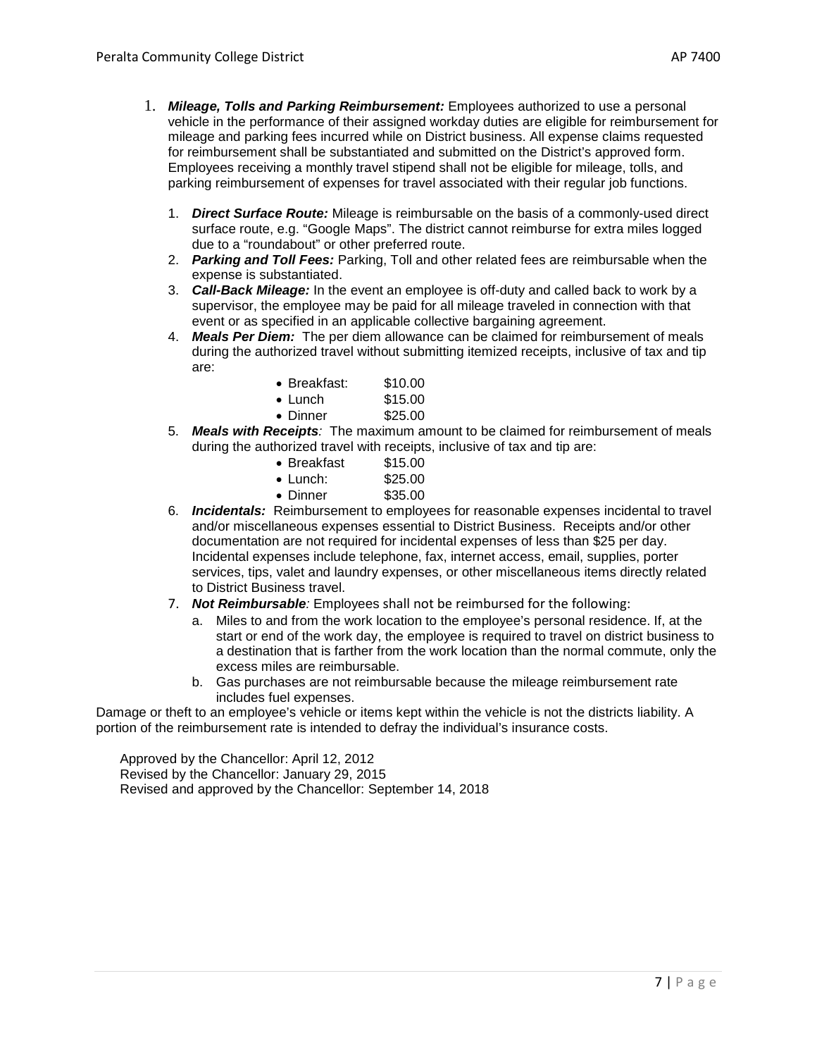- 1. *Mileage, Tolls and Parking Reimbursement:* Employees authorized to use a personal vehicle in the performance of their assigned workday duties are eligible for reimbursement for mileage and parking fees incurred while on District business. All expense claims requested for reimbursement shall be substantiated and submitted on the District's approved form. Employees receiving a monthly travel stipend shall not be eligible for mileage, tolls, and parking reimbursement of expenses for travel associated with their regular job functions.
	- 1. *Direct Surface Route:* Mileage is reimbursable on the basis of a commonly-used direct surface route, e.g. "Google Maps". The district cannot reimburse for extra miles logged due to a "roundabout" or other preferred route.
	- 2. *Parking and Toll Fees:* Parking, Toll and other related fees are reimbursable when the expense is substantiated.
	- 3. *Call-Back Mileage:* In the event an employee is off-duty and called back to work by a supervisor, the employee may be paid for all mileage traveled in connection with that event or as specified in an applicable collective bargaining agreement.
	- 4. *Meals Per Diem:* The per diem allowance can be claimed for reimbursement of meals during the authorized travel without submitting itemized receipts, inclusive of tax and tip are:

| • Breakfast:     | \$10.00 |
|------------------|---------|
| $\bullet$ Lunch  | \$15.00 |
| $\bullet$ Dinner | \$25.00 |

5. *Meals with Receipts:* The maximum amount to be claimed for reimbursement of meals during the authorized travel with receipts, inclusive of tax and tip are:

| $\bullet$ Breakfast | \$15.00 |
|---------------------|---------|
| $\bullet$ Lunch:    | \$25.00 |
| • Dinner            | \$35.00 |

- 6. *Incidentals:* Reimbursement to employees for reasonable expenses incidental to travel and/or miscellaneous expenses essential to District Business. Receipts and/or other documentation are not required for incidental expenses of less than \$25 per day. Incidental expenses include telephone, fax, internet access, email, supplies, porter services, tips, valet and laundry expenses, or other miscellaneous items directly related to District Business travel.
- 7. *Not Reimbursable:* Employees shall not be reimbursed for the following:
	- a. Miles to and from the work location to the employee's personal residence. If, at the start or end of the work day, the employee is required to travel on district business to a destination that is farther from the work location than the normal commute, only the excess miles are reimbursable.
	- b. Gas purchases are not reimbursable because the mileage reimbursement rate includes fuel expenses.

Damage or theft to an employee's vehicle or items kept within the vehicle is not the districts liability. A portion of the reimbursement rate is intended to defray the individual's insurance costs.

Approved by the Chancellor: April 12, 2012 Revised by the Chancellor: January 29, 2015 Revised and approved by the Chancellor: September 14, 2018